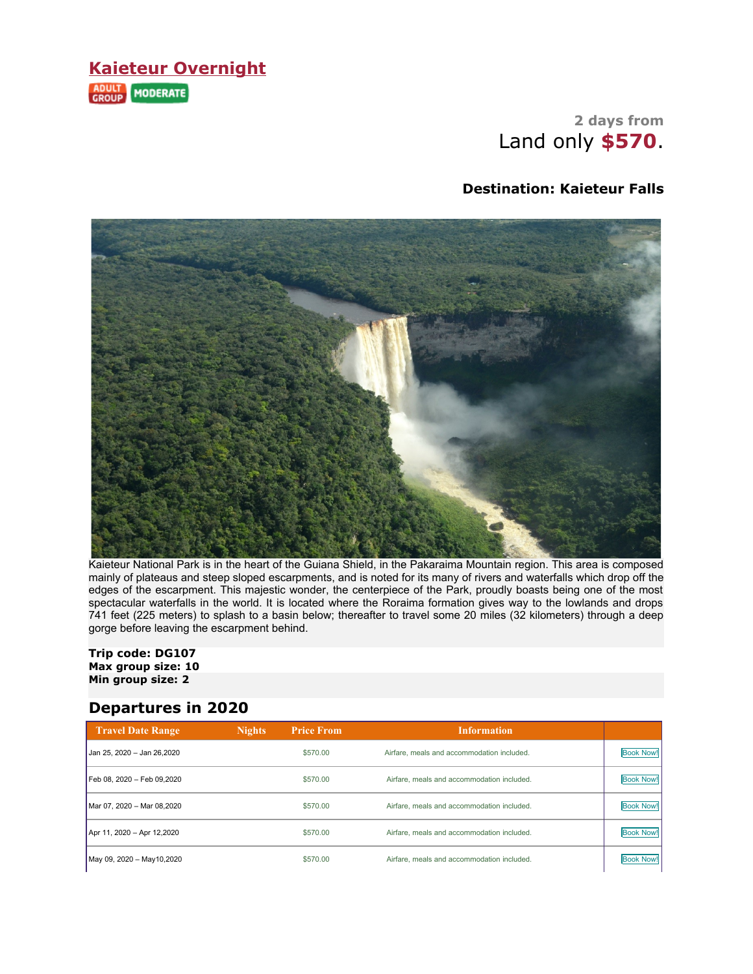### **Kaieteur Overnight** ADULT MODERATE

### **2 days from** Land only **\$570**.

#### **Destination: Kaieteur Falls**



Kaieteur National Park is in the heart of the Guiana Shield, in the Pakaraima Mountain region. This area is composed mainly of plateaus and steep sloped escarpments, and is noted for its many of rivers and waterfalls which drop off the edges of the escarpment. This majestic wonder, the centerpiece of the Park, proudly boasts being one of the most spectacular waterfalls in the world. It is located where the Roraima formation gives way to the lowlands and drops 741 feet (225 meters) to splash to a basin below; thereafter to travel some 20 miles (32 kilometers) through a deep gorge before leaving the escarpment behind.

#### **Trip code: DG107 Max group size: 10 Min group size: 2**

#### **Departures in 2020**

| <b>Travel Date Range</b>    | <b>Nights</b> | <b>Price From</b> | <b>Information</b>                         |                  |
|-----------------------------|---------------|-------------------|--------------------------------------------|------------------|
| Jan 25, 2020 – Jan 26,2020  |               | \$570.00          | Airfare, meals and accommodation included. | <b>Book Now!</b> |
| Feb 08, 2020 - Feb 09,2020  |               | \$570.00          | Airfare, meals and accommodation included. | <b>Book Now!</b> |
| Mar 07, 2020 - Mar 08,2020  |               | \$570.00          | Airfare, meals and accommodation included. | <b>Book Now!</b> |
| Apr 11, 2020 - Apr 12,2020  |               | \$570.00          | Airfare, meals and accommodation included. | <b>Book Now!</b> |
| May 09, 2020 - May 10, 2020 |               | \$570.00          | Airfare, meals and accommodation included. | <b>Book Now!</b> |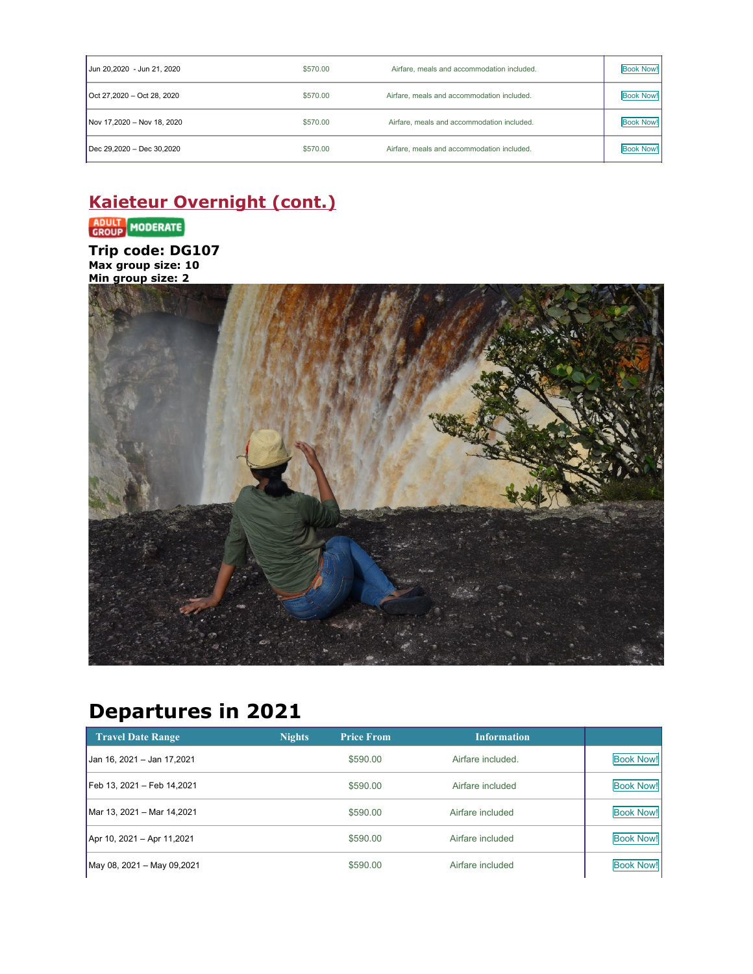| Jun 20,2020 - Jun 21, 2020 | \$570.00 | Airfare, meals and accommodation included. | <b>Book Now!</b> |
|----------------------------|----------|--------------------------------------------|------------------|
| Oct 27.2020 - Oct 28, 2020 | \$570.00 | Airfare, meals and accommodation included. | <b>Book Now!</b> |
| Nov 17,2020 - Nov 18, 2020 | \$570.00 | Airfare, meals and accommodation included. | <b>Book Now!</b> |
| Dec 29,2020 - Dec 30,2020  | \$570.00 | Airfare, meals and accommodation included. | <b>Book Now!</b> |

## **Kaieteur Overnight (cont.)**

### ADULT MODERATE

**Trip code: DG107 Max group size: 10**



# **Departures in 2021**

| <b>Travel Date Range</b>   | <b>Nights</b> | <b>Price From</b> | <b>Information</b> |                  |
|----------------------------|---------------|-------------------|--------------------|------------------|
| Jan 16, 2021 - Jan 17,2021 |               | \$590.00          | Airfare included.  | <b>Book Now!</b> |
| Feb 13, 2021 – Feb 14,2021 |               | \$590.00          | Airfare included   | <b>Book Now!</b> |
| Mar 13, 2021 – Mar 14,2021 |               | \$590.00          | Airfare included   | <b>Book Now!</b> |
| Apr 10, 2021 - Apr 11,2021 |               | \$590.00          | Airfare included   | <b>Book Now!</b> |
| May 08, 2021 - May 09,2021 |               | \$590.00          | Airfare included   | <b>Book Now!</b> |